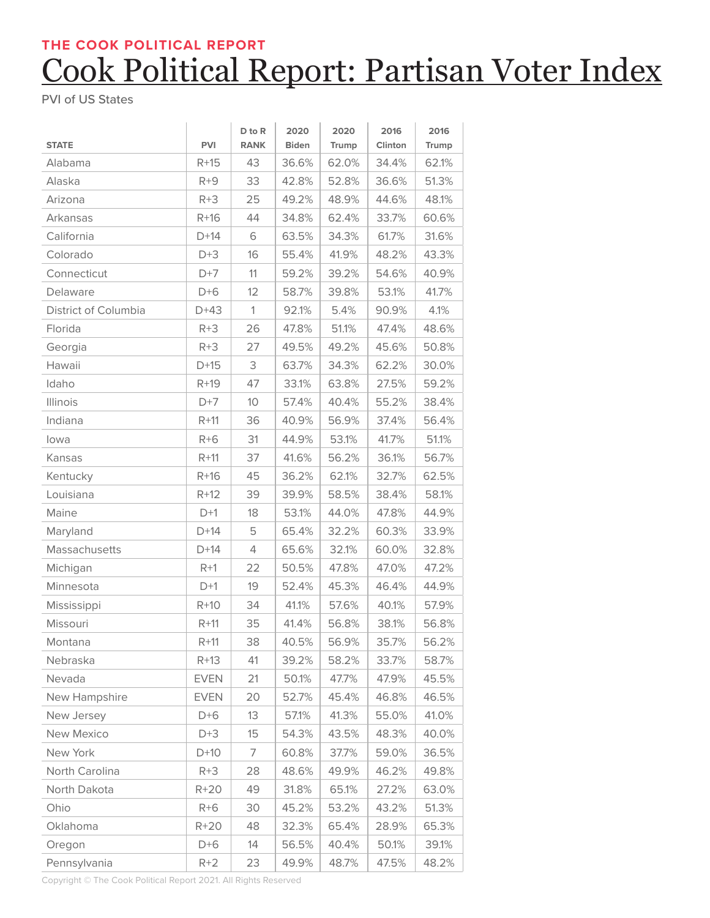## Cook Political Report: Partisan Voter Index **THE COOK POLITICAL REPORT**

PVI of US States

| <b>STATE</b>         | <b>PVI</b>  | D to R<br><b>RANK</b> | 2020<br><b>Biden</b> | 2020<br>Trump | 2016<br>Clinton | 2016<br>Trump |
|----------------------|-------------|-----------------------|----------------------|---------------|-----------------|---------------|
| Alabama              | $R+15$      | 43                    | 36.6%                | 62.0%         | 34.4%           | 62.1%         |
| Alaska               | $R + 9$     | 33                    | 42.8%                | 52.8%         | 36.6%           | 51.3%         |
| Arizona              | $R + 3$     | 25                    | 49.2%                | 48.9%         | 44.6%           | 48.1%         |
| Arkansas             | $R+16$      | 44                    | 34.8%                | 62.4%         | 33.7%           | 60.6%         |
| California           | $D+14$      | 6                     | 63.5%                | 34.3%         | 61.7%           | 31.6%         |
| Colorado             | $D+3$       | 16                    | 55.4%                | 41.9%         | 48.2%           | 43.3%         |
| Connecticut          | $D+7$       | 11                    | 59.2%                | 39.2%         | 54.6%           | 40.9%         |
| Delaware             | $D+6$       | 12                    | 58.7%                | 39.8%         | 53.1%           | 41.7%         |
| District of Columbia | $D+43$      | $\mathbf{1}$          | 92.1%                | 5.4%          | 90.9%           | 4.1%          |
| Florida              | $R + 3$     | 26                    | 47.8%                | 51.1%         | 47.4%           | 48.6%         |
| Georgia              | $R + 3$     | 27                    | 49.5%                | 49.2%         | 45.6%           | 50.8%         |
| Hawaii               | $D+15$      | 3                     | 63.7%                | 34.3%         | 62.2%           | 30.0%         |
| Idaho                | $R+19$      | 47                    | 33.1%                | 63.8%         | 27.5%           | 59.2%         |
| Illinois             | $D+7$       | 10                    | 57.4%                | 40.4%         | 55.2%           | 38.4%         |
| Indiana              | $R+11$      | 36                    | 40.9%                | 56.9%         | 37.4%           | 56.4%         |
| lowa                 | $R + 6$     | 31                    | 44.9%                | 53.1%         | 41.7%           | 51.1%         |
| Kansas               | $R + 11$    | 37                    | 41.6%                | 56.2%         | 36.1%           | 56.7%         |
| Kentucky             | $R+16$      | 45                    | 36.2%                | 62.1%         | 32.7%           | 62.5%         |
| Louisiana            | $R+12$      | 39                    | 39.9%                | 58.5%         | 38.4%           | 58.1%         |
| Maine                | $D+1$       | 18                    | 53.1%                | 44.0%         | 47.8%           | 44.9%         |
| Maryland             | $D+14$      | 5                     | 65.4%                | 32.2%         | 60.3%           | 33.9%         |
| Massachusetts        | $D+14$      | 4                     | 65.6%                | 32.1%         | 60.0%           | 32.8%         |
| Michigan             | $R+1$       | 22                    | 50.5%                | 47.8%         | 47.0%           | 47.2%         |
| Minnesota            | $D+1$       | 19                    | 52.4%                | 45.3%         | 46.4%           | 44.9%         |
| Mississippi          | $R+10$      | 34                    | 41.1%                | 57.6%         | 40.1%           | 57.9%         |
| Missouri             | $R + 11$    | 35                    | 41.4%                | 56.8%         | 38.1%           | 56.8%         |
| Montana              | $R + 11$    | 38                    | 40.5%                | 56.9%         | 35.7%           | 56.2%         |
| Nebraska             | $R+13$      | 41                    | 39.2%                | 58.2%         | 33.7%           | 58.7%         |
| Nevada               | <b>EVEN</b> | 21                    | 50.1%                | 47.7%         | 47.9%           | 45.5%         |
| New Hampshire        | <b>EVEN</b> | 20                    | 52.7%                | 45.4%         | 46.8%           | 46.5%         |
| New Jersey           | $D+6$       | 13                    | 57.1%                | 41.3%         | 55.0%           | 41.0%         |
| New Mexico           | $D+3$       | 15                    | 54.3%                | 43.5%         | 48.3%           | 40.0%         |
| New York             | $D+10$      | 7                     | 60.8%                | 37.7%         | 59.0%           | 36.5%         |
| North Carolina       | $R + 3$     | 28                    | 48.6%                | 49.9%         | 46.2%           | 49.8%         |
| North Dakota         | $R+20$      | 49                    | 31.8%                | 65.1%         | 27.2%           | 63.0%         |
| Ohio                 | $R + 6$     | 30                    | 45.2%                | 53.2%         | 43.2%           | 51.3%         |
| Oklahoma             | $R+20$      | 48                    | 32.3%                | 65.4%         | 28.9%           | 65.3%         |
| Oregon               | $D+6$       | 14                    | 56.5%                | 40.4%         | 50.1%           | 39.1%         |
| Pennsylvania         | $R+2$       | 23                    | 49.9%                | 48.7%         | 47.5%           | 48.2%         |

Copyright © The Cook Political Report 2021. All Rights Reserved